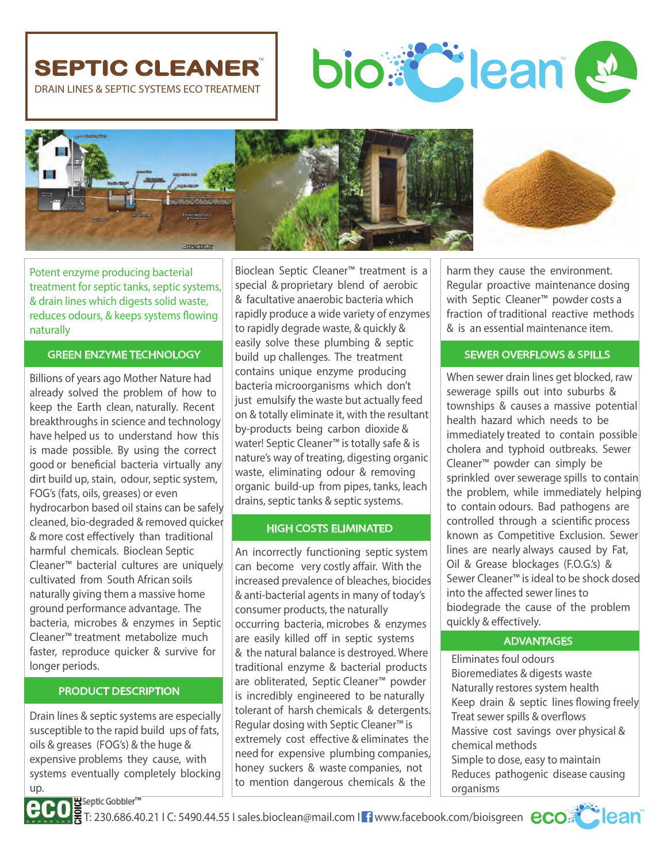# **SEPTIC CLEANER**



DRAIN LINES & SEPTIC SYSTEMS ECO TREATMENT



Potent enzyme producing bacterial treatment for septic tanks, septic systems, & drain lines which digests solid waste, reduces odours, & keeps systems flowing naturally

Billions of years ago Mother Nature had already solved the problem of how to keep the Earth clean, naturally. Recent breakthroughs in science and technology have helped us to understand how this is made possible. By using the correct good or beneficial bacteria virtually any dirt build up, stain, odour, septic system, FOG's (fats, oils, greases) or even hydrocarbon based oil stains can be safely cleaned, bio‐degraded & removed quicker & more cost effectively than traditional harmful chemicals. Bioclean Septic Cleaner™ bacterial cultures are uniquely cultivated from South African soils naturally giving them a massive home ground performance advantage. The bacteria, microbes & enzymes in Septic Cleaner™ treatment metabolize much faster, reproduce quicker & survive for longer periods.

### PRODUCT DESCRIPTION

Drain lines & septic systems are especially susceptible to the rapid build ups of fats, oils & greases (FOG's) & the huge & expensive problems they cause, with systems eventually completely blocking up.

GREEN ENZYME TECHNOLOGY Suild up challenges. The treatment SEWER OVERFLOWS & SPILLS Bioclean Septic Cleaner™ treatment is a special & proprietary blend of aerobic & facultative anaerobic bacteria which rapidly produce a wide variety of enzymes to rapidly degrade waste, & quickly & easily solve these plumbing & septic contains unique enzyme producing bacteria microorganisms which don't just emulsify the waste but actually feed on & totally eliminate it, with the resultant by‐products being carbon dioxide & water! Septic Cleaner™ is totally safe & is nature's way of treating, digesting organic waste, eliminating odour & removing organic build‐up from pipes, tanks, leach drains, septic tanks & septic systems.

### HIGH COSTS ELIMINATED

An incorrectly functioning septic system can become very costly affair. With the increased prevalence of bleaches, biocides & anti‐bacterial agents in many of today's consumer products, the naturally occurring bacteria, microbes & enzymes are easily killed off in septic systems & the natural balance is destroyed. Where traditional enzyme & bacterial products are obliterated, Septic Cleaner™ powder is incredibly engineered to be naturally tolerant of harsh chemicals & detergents. Regular dosing with Septic Cleaner™ is extremely cost effective & eliminates the need for expensive plumbing companies, honey suckers & waste companies, not to mention dangerous chemicals & the

harm they cause the environment. Regular proactive maintenance dosing with Septic Cleaner™ powder costs a fraction of traditional reactive methods & is an essential maintenance item.

When sewer drain lines get blocked, raw sewerage spills out into suburbs & townships & causes a massive potential health hazard which needs to be immediately treated to contain possible cholera and typhoid outbreaks. Sewer Cleaner™ powder can simply be sprinkled over sewerage spills to contain the problem, while immediately helping to contain odours. Bad pathogens are controlled through a scientific process known as Competitive Exclusion. Sewer lines are nearly always caused by Fat, Oil & Grease blockages (F.O.G.'s) & Sewer Cleaner™ is ideal to be shock dosed into the affected sewer lines to biodegrade the cause of the problem quickly & effectively.

## ADVANTAGES

Eliminates foul odours Bioremediates & digests waste Naturally restores system health Keep drain  $&$  septic lines flowing freely Treat sewer spills & overflows Massive cost savings over physical & chemical methods Simple to dose, easy to maintain Reduces pathogenic disease causing organisms



Septic Gobbler™

 $\Xi$ T: 230.686.40.21 I C: 5490.44.55 I sales.bioclean@mail.com I i www.facebook.com/bioisgreen  $\text{eco.}$   $\text{e}$